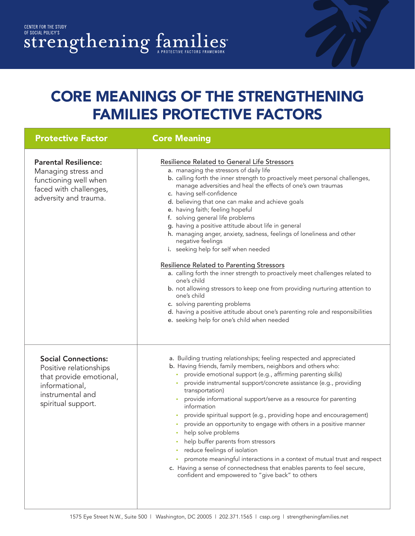## CORE MEANINGS OF THE STRENGTHENING FAMILIES PROTECTIVE FACTORS

| <b>Protective Factor</b>                                                                                                                    | <b>Core Meaning</b>                                                                                                                                                                                                                                                                                                                                                                                                                                                                                                                                                                                                                                                                                                                                                                                                                                                                                                                                                                                              |
|---------------------------------------------------------------------------------------------------------------------------------------------|------------------------------------------------------------------------------------------------------------------------------------------------------------------------------------------------------------------------------------------------------------------------------------------------------------------------------------------------------------------------------------------------------------------------------------------------------------------------------------------------------------------------------------------------------------------------------------------------------------------------------------------------------------------------------------------------------------------------------------------------------------------------------------------------------------------------------------------------------------------------------------------------------------------------------------------------------------------------------------------------------------------|
| <b>Parental Resilience:</b><br>Managing stress and<br>functioning well when<br>faced with challenges,<br>adversity and trauma.              | Resilience Related to General Life Stressors<br>a. managing the stressors of daily life<br>b. calling forth the inner strength to proactively meet personal challenges,<br>manage adversities and heal the effects of one's own traumas<br>c. having self-confidence<br>d. believing that one can make and achieve goals<br>e. having faith; feeling hopeful<br>f. solving general life problems<br>g. having a positive attitude about life in general<br>h. managing anger, anxiety, sadness, feelings of loneliness and other<br>negative feelings<br>i. seeking help for self when needed<br><b>Resilience Related to Parenting Stressors</b><br>a. calling forth the inner strength to proactively meet challenges related to<br>one's child<br>b. not allowing stressors to keep one from providing nurturing attention to<br>one's child<br>c. solving parenting problems<br>d. having a positive attitude about one's parenting role and responsibilities<br>e. seeking help for one's child when needed |
| <b>Social Connections:</b><br>Positive relationships<br>that provide emotional,<br>informational,<br>instrumental and<br>spiritual support. | a. Building trusting relationships; feeling respected and appreciated<br>b. Having friends, family members, neighbors and others who:<br>provide emotional support (e.g., affirming parenting skills)<br>۰<br>provide instrumental support/concrete assistance (e.g., providing<br>transportation)<br>provide informational support/serve as a resource for parenting<br>information<br>provide spiritual support (e.g., providing hope and encouragement)<br>provide an opportunity to engage with others in a positive manner<br>help solve problems<br>help buffer parents from stressors<br>reduce feelings of isolation<br>promote meaningful interactions in a context of mutual trust and respect<br>۰<br>c. Having a sense of connectedness that enables parents to feel secure,<br>confident and empowered to "give back" to others                                                                                                                                                                     |